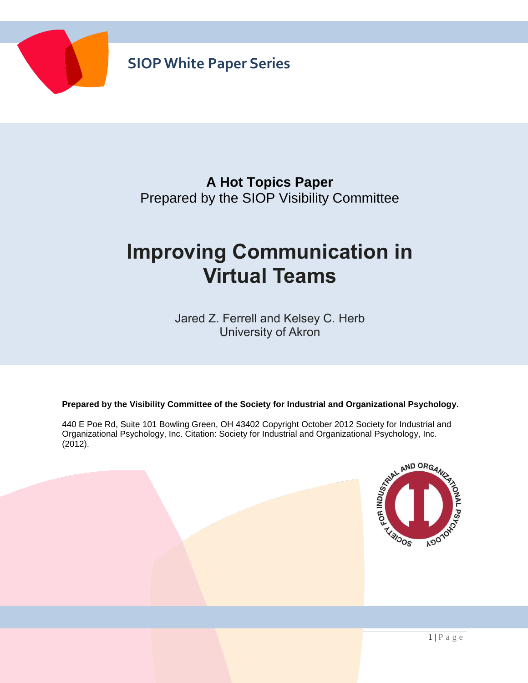

#### **A Hot Topics Paper** Prepared by the SIOP Visibility Committee

# **Improving Communication in Virtual Teams**

Jared Z. Ferrell and Kelsey C. Herb University of Akron

**Prepared by the Visibility Committee of the Society for Industrial and Organizational Psychology.**

440 E Poe Rd, Suite 101 Bowling Green, OH 43402 Copyright October 2012 Society for Industrial and Organizational Psychology, Inc. Citation: Society for Industrial and Organizational Psychology, Inc. (2012). (2012).

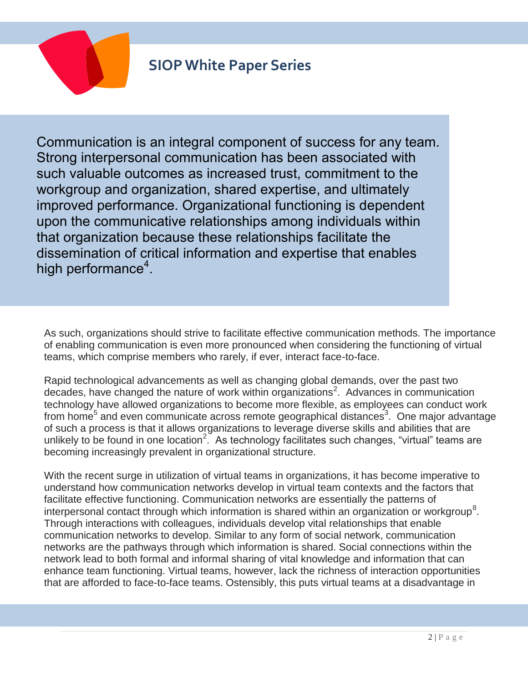

Communication is an integral component of success for any team. Strong interpersonal communication has been associated with such valuable outcomes as increased trust, commitment to the workgroup and organization, shared expertise, and ultimately improved performance. Organizational functioning is dependent upon the communicative relationships among individuals within that organization because these relationships facilitate the dissemination of critical information and expertise that enables high performance<sup>4</sup>.

As such, organizations should strive to facilitate effective communication methods. The importance of enabling communication is even more pronounced when considering the functioning of virtual teams, which comprise members who rarely, if ever, interact face-to-face.

Rapid technological advancements as well as changing global demands, over the past two decades, have changed the nature of work within organizations<sup>2</sup>. Advances in communication technology have allowed organizations to become more flexible, as employees can conduct work from home<sup>5</sup> and even communicate across remote geographical distances<sup>3</sup>. One major advantage of such a process is that it allows organizations to leverage diverse skills and abilities that are unlikely to be found in one location<sup>2</sup>. As technology facilitates such changes, "virtual" teams are becoming increasingly prevalent in organizational structure.

With the recent surge in utilization of virtual teams in organizations, it has become imperative to understand how communication networks develop in virtual team contexts and the factors that facilitate effective functioning. Communication networks are essentially the patterns of interpersonal contact through which information is shared within an organization or workgroup<sup>8</sup>. Through interactions with colleagues, individuals develop vital relationships that enable communication networks to develop. Similar to any form of social network, communication networks are the pathways through which information is shared. Social connections within the network lead to both formal and informal sharing of vital knowledge and information that can enhance team functioning. Virtual teams, however, lack the richness of interaction opportunities that are afforded to face-to-face teams. Ostensibly, this puts virtual teams at a disadvantage in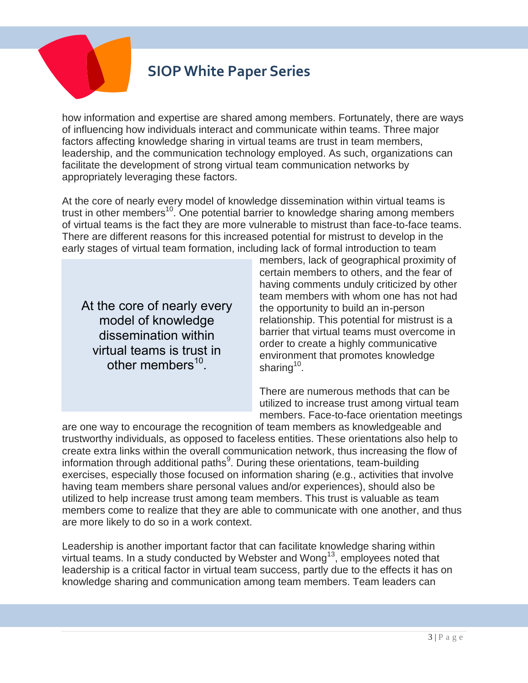

how information and expertise are shared among members. Fortunately, there are ways of influencing how individuals interact and communicate within teams. Three major factors affecting knowledge sharing in virtual teams are trust in team members, leadership, and the communication technology employed. As such, organizations can facilitate the development of strong virtual team communication networks by appropriately leveraging these factors.

At the core of nearly every model of knowledge dissemination within virtual teams is trust in other members<sup>10</sup>. One potential barrier to knowledge sharing among members of virtual teams is the fact they are more vulnerable to mistrust than face-to-face teams. There are different reasons for this increased potential for mistrust to develop in the early stages of virtual team formation, including lack of formal introduction to team

At the core of nearly every model of knowledge dissemination within virtual teams is trust in other members<sup>10</sup>.

members, lack of geographical proximity of certain members to others, and the fear of having comments unduly criticized by other team members with whom one has not had the opportunity to build an in-person relationship. This potential for mistrust is a barrier that virtual teams must overcome in order to create a highly communicative environment that promotes knowledge sharing<sup>10</sup>.

There are numerous methods that can be utilized to increase trust among virtual team members. Face-to-face orientation meetings

are one way to encourage the recognition of team members as knowledgeable and trustworthy individuals, as opposed to faceless entities. These orientations also help to create extra links within the overall communication network, thus increasing the flow of information through additional paths $9$ . During these orientations, team-building exercises, especially those focused on information sharing (e.g., activities that involve having team members share personal values and/or experiences), should also be utilized to help increase trust among team members. This trust is valuable as team members come to realize that they are able to communicate with one another, and thus are more likely to do so in a work context.

Leadership is another important factor that can facilitate knowledge sharing within virtual teams. In a study conducted by Webster and Wong<sup>13</sup>, employees noted that leadership is a critical factor in virtual team success, partly due to the effects it has on knowledge sharing and communication among team members. Team leaders can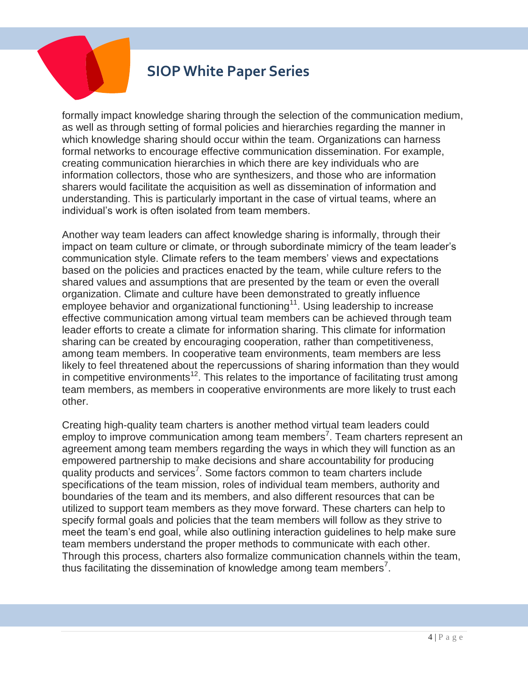

formally impact knowledge sharing through the selection of the communication medium, as well as through setting of formal policies and hierarchies regarding the manner in which knowledge sharing should occur within the team. Organizations can harness formal networks to encourage effective communication dissemination. For example, creating communication hierarchies in which there are key individuals who are information collectors, those who are synthesizers, and those who are information sharers would facilitate the acquisition as well as dissemination of information and understanding. This is particularly important in the case of virtual teams, where an individual's work is often isolated from team members.

Another way team leaders can affect knowledge sharing is informally, through their impact on team culture or climate, or through subordinate mimicry of the team leader's communication style. Climate refers to the team members' views and expectations based on the policies and practices enacted by the team, while culture refers to the shared values and assumptions that are presented by the team or even the overall organization. Climate and culture have been demonstrated to greatly influence employee behavior and organizational functioning<sup>11</sup>. Using leadership to increase effective communication among virtual team members can be achieved through team leader efforts to create a climate for information sharing. This climate for information sharing can be created by encouraging cooperation, rather than competitiveness, among team members. In cooperative team environments, team members are less likely to feel threatened about the repercussions of sharing information than they would in competitive environments<sup>12</sup>. This relates to the importance of facilitating trust among team members, as members in cooperative environments are more likely to trust each other.

Creating high-quality team charters is another method virtual team leaders could employ to improve communication among team members<sup>7</sup>. Team charters represent an agreement among team members regarding the ways in which they will function as an empowered partnership to make decisions and share accountability for producing quality products and services<sup>7</sup>. Some factors common to team charters include specifications of the team mission, roles of individual team members, authority and boundaries of the team and its members, and also different resources that can be utilized to support team members as they move forward. These charters can help to specify formal goals and policies that the team members will follow as they strive to meet the team's end goal, while also outlining interaction guidelines to help make sure team members understand the proper methods to communicate with each other. Through this process, charters also formalize communication channels within the team, thus facilitating the dissemination of knowledge among team members<sup>7</sup>.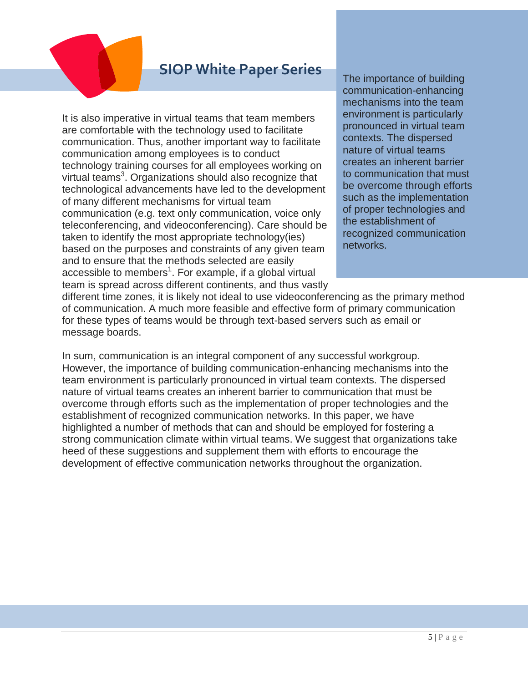It is also imperative in virtual teams that team members are comfortable with the technology used to facilitate communication. Thus, another important way to facilitate communication among employees is to conduct technology training courses for all employees working on virtual teams<sup>3</sup>. Organizations should also recognize that technological advancements have led to the development of many different mechanisms for virtual team communication (e.g. text only communication, voice only teleconferencing, and videoconferencing). Care should be taken to identify the most appropriate technology(ies) based on the purposes and constraints of any given team and to ensure that the methods selected are easily accessible to members<sup>1</sup>. For example, if a global virtual team is spread across different continents, and thus vastly The importance of building communication-enhancing mechanisms into the team environment is particularly pronounced in virtual team contexts. The dispersed nature of virtual teams creates an inherent barrier to communication that must be overcome through efforts such as the implementation of proper technologies and the establishment of recognized communication networks.

different time zones, it is likely not ideal to use videoconferencing as the primary method of communication. A much more feasible and effective form of primary communication for these types of teams would be through text-based servers such as email or message boards.

In sum, communication is an integral component of any successful workgroup. However, the importance of building communication-enhancing mechanisms into the team environment is particularly pronounced in virtual team contexts. The dispersed nature of virtual teams creates an inherent barrier to communication that must be overcome through efforts such as the implementation of proper technologies and the establishment of recognized communication networks. In this paper, we have highlighted a number of methods that can and should be employed for fostering a strong communication climate within virtual teams. We suggest that organizations take heed of these suggestions and supplement them with efforts to encourage the development of effective communication networks throughout the organization.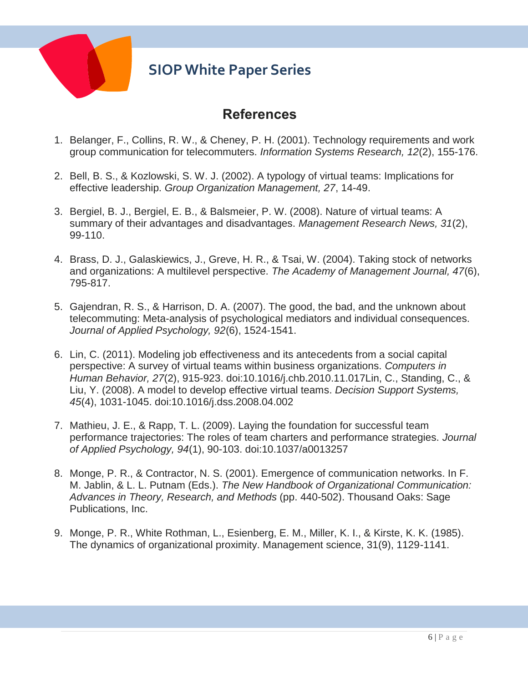

#### **References**

- 1. Belanger, F., Collins, R. W., & Cheney, P. H. (2001). Technology requirements and work group communication for telecommuters. *Information Systems Research, 12*(2), 155-176.
- 2. Bell, B. S., & Kozlowski, S. W. J. (2002). A typology of virtual teams: Implications for effective leadership. *Group Organization Management, 27*, 14-49.
- 3. Bergiel, B. J., Bergiel, E. B., & Balsmeier, P. W. (2008). Nature of virtual teams: A summary of their advantages and disadvantages. *Management Research News, 31*(2), 99-110.
- 4. Brass, D. J., Galaskiewics, J., Greve, H. R., & Tsai, W. (2004). Taking stock of networks and organizations: A multilevel perspective. *The Academy of Management Journal, 47*(6), 795-817.
- 5. Gajendran, R. S., & Harrison, D. A. (2007). The good, the bad, and the unknown about telecommuting: Meta-analysis of psychological mediators and individual consequences. *Journal of Applied Psychology, 92*(6), 1524-1541.
- 6. Lin, C. (2011). Modeling job effectiveness and its antecedents from a social capital perspective: A survey of virtual teams within business organizations. *Computers in Human Behavior, 27*(2), 915-923. doi:10.1016/j.chb.2010.11.017Lin, C., Standing, C., & Liu, Y. (2008). A model to develop effective virtual teams. *Decision Support Systems, 45*(4), 1031-1045. doi:10.1016/j.dss.2008.04.002
- 7. Mathieu, J. E., & Rapp, T. L. (2009). Laying the foundation for successful team performance trajectories: The roles of team charters and performance strategies. *Journal of Applied Psychology, 94*(1), 90-103. doi:10.1037/a0013257
- 8. Monge, P. R., & Contractor, N. S. (2001). Emergence of communication networks. In F. M. Jablin, & L. L. Putnam (Eds.). *The New Handbook of Organizational Communication: Advances in Theory, Research, and Methods* (pp. 440-502). Thousand Oaks: Sage Publications, Inc.
- 9. Monge, P. R., White Rothman, L., Esienberg, E. M., Miller, K. I., & Kirste, K. K. (1985). The dynamics of organizational proximity. Management science, 31(9), 1129-1141.